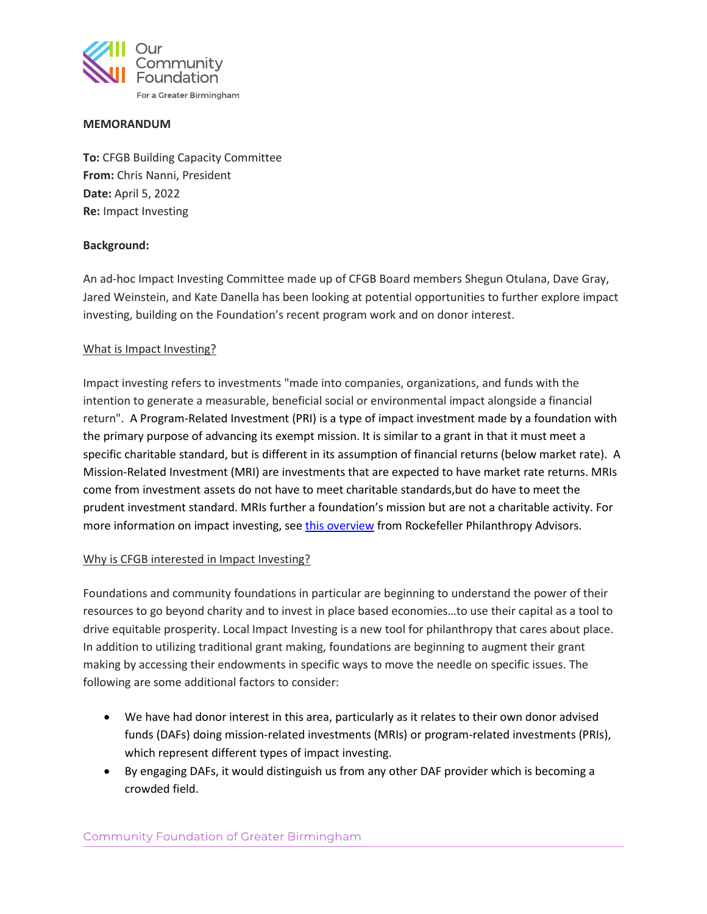

## **MEMORANDUM**

**To:** CFGB Building Capacity Committee **From:** Chris Nanni, President **Date:** April 5, 2022 **Re:** Impact Investing

## **Background:**

An ad-hoc Impact Investing Committee made up of CFGB Board members Shegun Otulana, Dave Gray, Jared Weinstein, and Kate Danella has been looking at potential opportunities to further explore impact investing, building on the Foundation's recent program work and on donor interest.

## What is Impact Investing?

Impact investing refers to investments "made into companies, organizations, and funds with the intention to generate a measurable, beneficial social or environmental impact alongside a financial return". A Program-Related Investment (PRI) is a type of impact investment made by a foundation with the primary purpose of advancing its exempt mission. It is similar to a grant in that it must meet a specific charitable standard, but is different in its assumption of financial returns (below market rate). A Mission-Related Investment (MRI) are investments that are expected to have market rate returns. MRIs come from investment assets do not have to meet charitable standards,but do have to meet the prudent investment standard. MRIs further a foundation's mission but are not a charitable activity. For more information on impact investing, se[e this overview](https://www.rockpa.org/guide/impact-investing-introduction/) from Rockefeller Philanthropy Advisors.

## Why is CFGB interested in Impact Investing?

Foundations and community foundations in particular are beginning to understand the power of their resources to go beyond charity and to invest in place based economies…to use their capital as a tool to drive equitable prosperity. Local Impact Investing is a new tool for philanthropy that cares about place. In addition to utilizing traditional grant making, foundations are beginning to augment their grant making by accessing their endowments in specific ways to move the needle on specific issues. The following are some additional factors to consider:

- We have had donor interest in this area, particularly as it relates to their own donor advised funds (DAFs) doing mission-related investments (MRIs) or program-related investments (PRIs), which represent different types of impact investing.
- By engaging DAFs, it would distinguish us from any other DAF provider which is becoming a crowded field.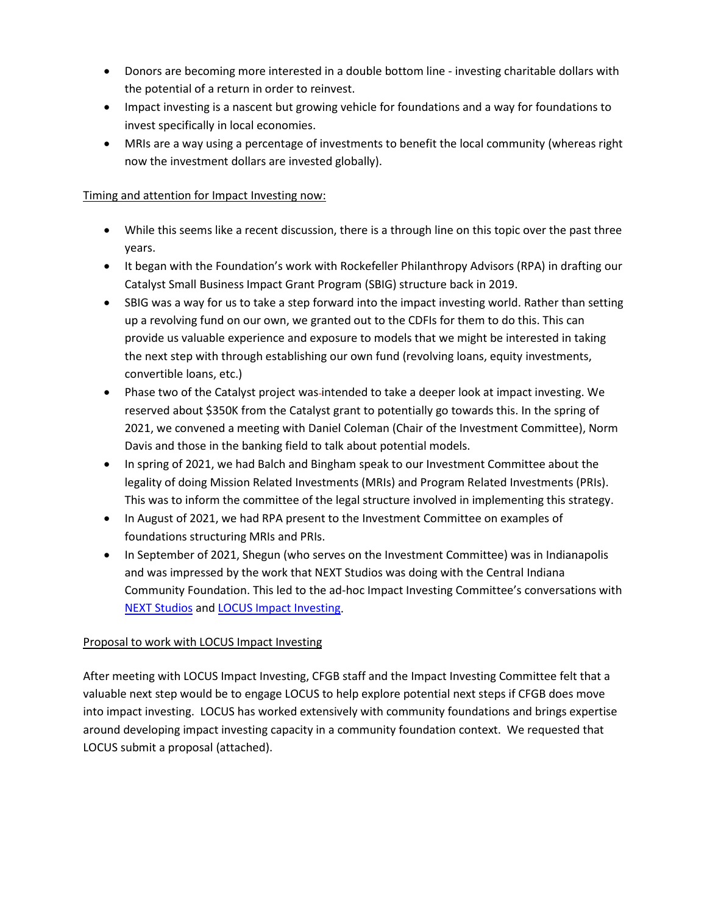- Donors are becoming more interested in a double bottom line investing charitable dollars with the potential of a return in order to reinvest.
- Impact investing is a nascent but growing vehicle for foundations and a way for foundations to invest specifically in local economies.
- MRIs are a way using a percentage of investments to benefit the local community (whereas right now the investment dollars are invested globally).

# Timing and attention for Impact Investing now:

- While this seems like a recent discussion, there is a through line on this topic over the past three years.
- It began with the Foundation's work with Rockefeller Philanthropy Advisors (RPA) in drafting our Catalyst Small Business Impact Grant Program (SBIG) structure back in 2019.
- SBIG was a way for us to take a step forward into the impact investing world. Rather than setting up a revolving fund on our own, we granted out to the CDFIs for them to do this. This can provide us valuable experience and exposure to models that we might be interested in taking the next step with through establishing our own fund (revolving loans, equity investments, convertible loans, etc.)
- Phase two of the Catalyst project was intended to take a deeper look at impact investing. We reserved about \$350K from the Catalyst grant to potentially go towards this. In the spring of 2021, we convened a meeting with Daniel Coleman (Chair of the Investment Committee), Norm Davis and those in the banking field to talk about potential models.
- In spring of 2021, we had Balch and Bingham speak to our Investment Committee about the legality of doing Mission Related Investments (MRIs) and Program Related Investments (PRIs). This was to inform the committee of the legal structure involved in implementing this strategy.
- In August of 2021, we had RPA present to the Investment Committee on examples of foundations structuring MRIs and PRIs.
- In September of 2021, Shegun (who serves on the Investment Committee) was in Indianapolis and was impressed by the work that NEXT Studios was doing with the Central Indiana Community Foundation. This led to the ad-hoc Impact Investing Committee's conversations with [NEXT Studios](https://nextstudios.org/) and [LOCUS Impact Investing.](https://locusimpactinvesting.org/)

# Proposal to work with LOCUS Impact Investing

After meeting with LOCUS Impact Investing, CFGB staff and the Impact Investing Committee felt that a valuable next step would be to engage LOCUS to help explore potential next steps if CFGB does move into impact investing. LOCUS has worked extensively with community foundations and brings expertise around developing impact investing capacity in a community foundation context. We requested that LOCUS submit a proposal (attached).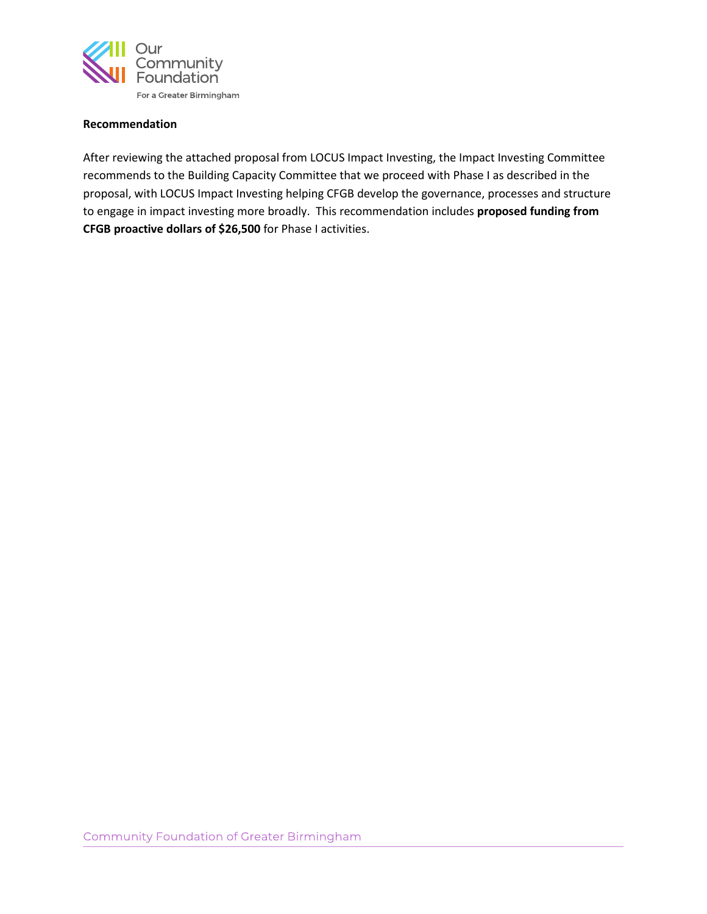

## **Recommendation**

After reviewing the attached proposal from LOCUS Impact Investing, the Impact Investing Committee recommends to the Building Capacity Committee that we proceed with Phase I as described in the proposal, with LOCUS Impact Investing helping CFGB develop the governance, processes and structure to engage in impact investing more broadly. This recommendation includes **proposed funding from CFGB proactive dollars of \$26,500** for Phase I activities.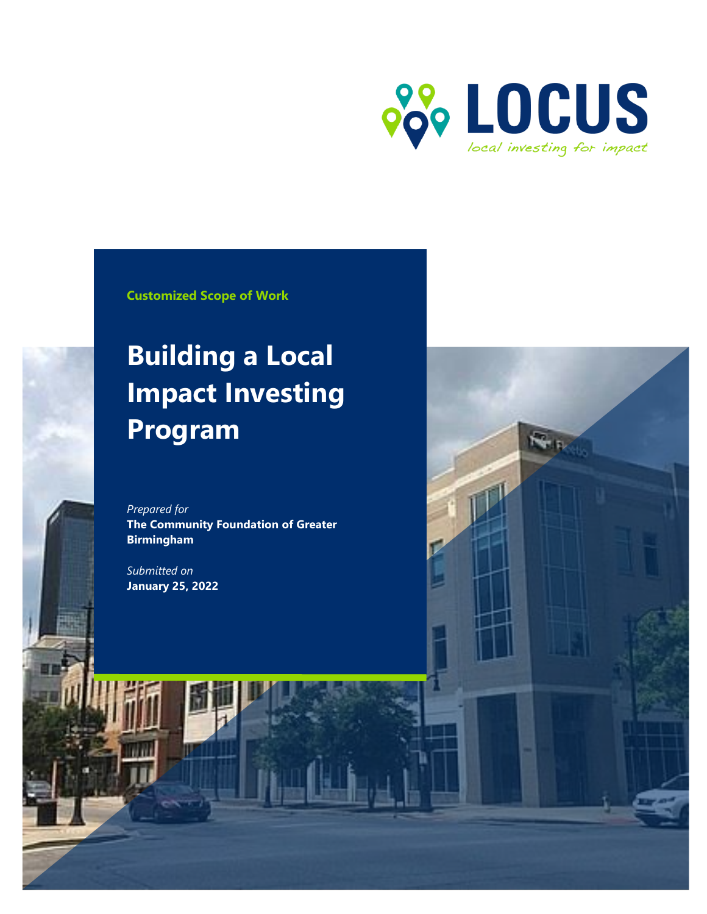

**Customized Scope of Work**

# **Building a Local Impact Investing Program**

*Prepared for* **The Community Foundation of Greater Birmingham**

*Submitted on*  **January 25, 2022**

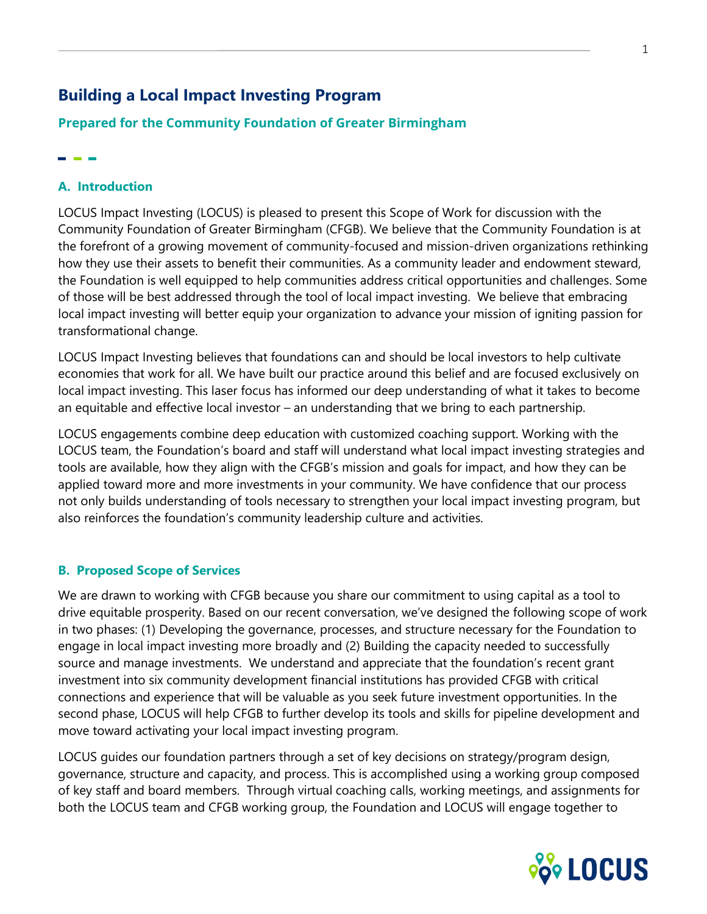# **Building a Local Impact Investing Program**

# **Prepared for the Community Foundation of Greater Birmingham**

# **A. Introduction**

LOCUS Impact Investing (LOCUS) is pleased to present this Scope of Work for discussion with the Community Foundation of Greater Birmingham (CFGB). We believe that the Community Foundation is at the forefront of a growing movement of community-focused and mission-driven organizations rethinking how they use their assets to benefit their communities. As a community leader and endowment steward, the Foundation is well equipped to help communities address critical opportunities and challenges. Some of those will be best addressed through the tool of local impact investing. We believe that embracing local impact investing will better equip your organization to advance your mission of igniting passion for transformational change.

LOCUS Impact Investing believes that foundations can and should be local investors to help cultivate economies that work for all. We have built our practice around this belief and are focused exclusively on local impact investing. This laser focus has informed our deep understanding of what it takes to become an equitable and effective local investor – an understanding that we bring to each partnership.

LOCUS engagements combine deep education with customized coaching support. Working with the LOCUS team, the Foundation's board and staff will understand what local impact investing strategies and tools are available, how they align with the CFGB's mission and goals for impact, and how they can be applied toward more and more investments in your community. We have confidence that our process not only builds understanding of tools necessary to strengthen your local impact investing program, but also reinforces the foundation's community leadership culture and activities.

# **B. Proposed Scope of Services**

We are drawn to working with CFGB because you share our commitment to using capital as a tool to drive equitable prosperity. Based on our recent conversation, we've designed the following scope of work in two phases: (1) Developing the governance, processes, and structure necessary for the Foundation to engage in local impact investing more broadly and (2) Building the capacity needed to successfully source and manage investments. We understand and appreciate that the foundation's recent grant investment into six community development financial institutions has provided CFGB with critical connections and experience that will be valuable as you seek future investment opportunities. In the second phase, LOCUS will help CFGB to further develop its tools and skills for pipeline development and move toward activating your local impact investing program.

LOCUS guides our foundation partners through a set of key decisions on strategy/program design, governance, structure and capacity, and process. This is accomplished using a working group composed of key staff and board members. Through virtual coaching calls, working meetings, and assignments for both the LOCUS team and CFGB working group, the Foundation and LOCUS will engage together to

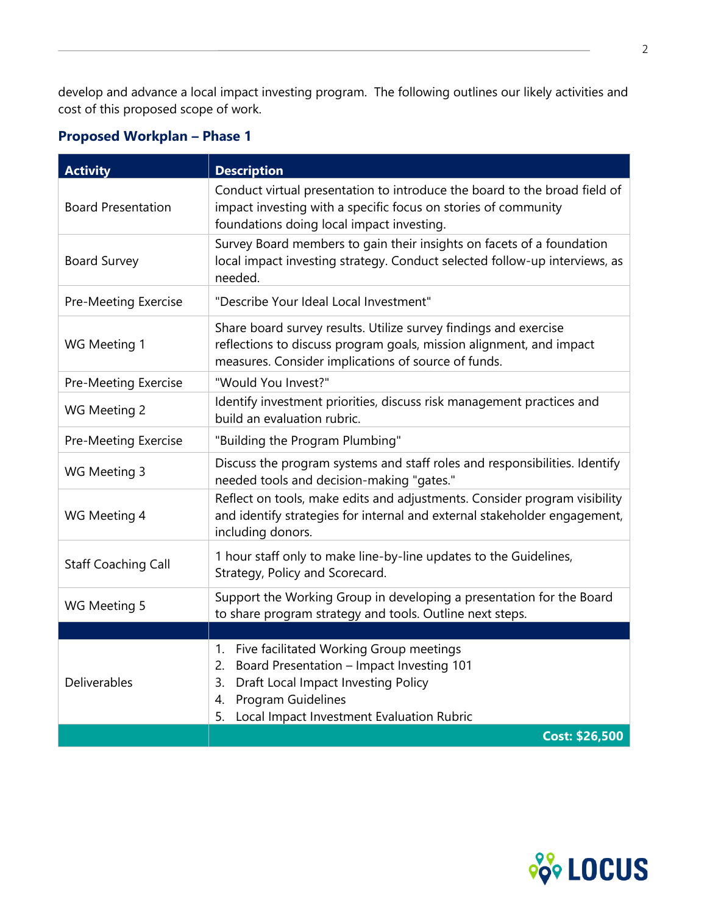develop and advance a local impact investing program. The following outlines our likely activities and cost of this proposed scope of work.

# **Proposed Workplan – Phase 1**

| <b>Activity</b>             | <b>Description</b>                                                                                                                                                                                                                  |
|-----------------------------|-------------------------------------------------------------------------------------------------------------------------------------------------------------------------------------------------------------------------------------|
| <b>Board Presentation</b>   | Conduct virtual presentation to introduce the board to the broad field of<br>impact investing with a specific focus on stories of community<br>foundations doing local impact investing.                                            |
| <b>Board Survey</b>         | Survey Board members to gain their insights on facets of a foundation<br>local impact investing strategy. Conduct selected follow-up interviews, as<br>needed.                                                                      |
| <b>Pre-Meeting Exercise</b> | "Describe Your Ideal Local Investment"                                                                                                                                                                                              |
| WG Meeting 1                | Share board survey results. Utilize survey findings and exercise<br>reflections to discuss program goals, mission alignment, and impact<br>measures. Consider implications of source of funds.                                      |
| <b>Pre-Meeting Exercise</b> | "Would You Invest?"                                                                                                                                                                                                                 |
| WG Meeting 2                | Identify investment priorities, discuss risk management practices and<br>build an evaluation rubric.                                                                                                                                |
| Pre-Meeting Exercise        | "Building the Program Plumbing"                                                                                                                                                                                                     |
| WG Meeting 3                | Discuss the program systems and staff roles and responsibilities. Identify<br>needed tools and decision-making "gates."                                                                                                             |
| WG Meeting 4                | Reflect on tools, make edits and adjustments. Consider program visibility<br>and identify strategies for internal and external stakeholder engagement,<br>including donors.                                                         |
| <b>Staff Coaching Call</b>  | 1 hour staff only to make line-by-line updates to the Guidelines,<br>Strategy, Policy and Scorecard.                                                                                                                                |
| WG Meeting 5                | Support the Working Group in developing a presentation for the Board<br>to share program strategy and tools. Outline next steps.                                                                                                    |
|                             |                                                                                                                                                                                                                                     |
| Deliverables                | Five facilitated Working Group meetings<br>1.<br>Board Presentation - Impact Investing 101<br>2.<br>Draft Local Impact Investing Policy<br>3.<br><b>Program Guidelines</b><br>4.<br>Local Impact Investment Evaluation Rubric<br>5. |
|                             | <b>Cost: \$26,500</b>                                                                                                                                                                                                               |

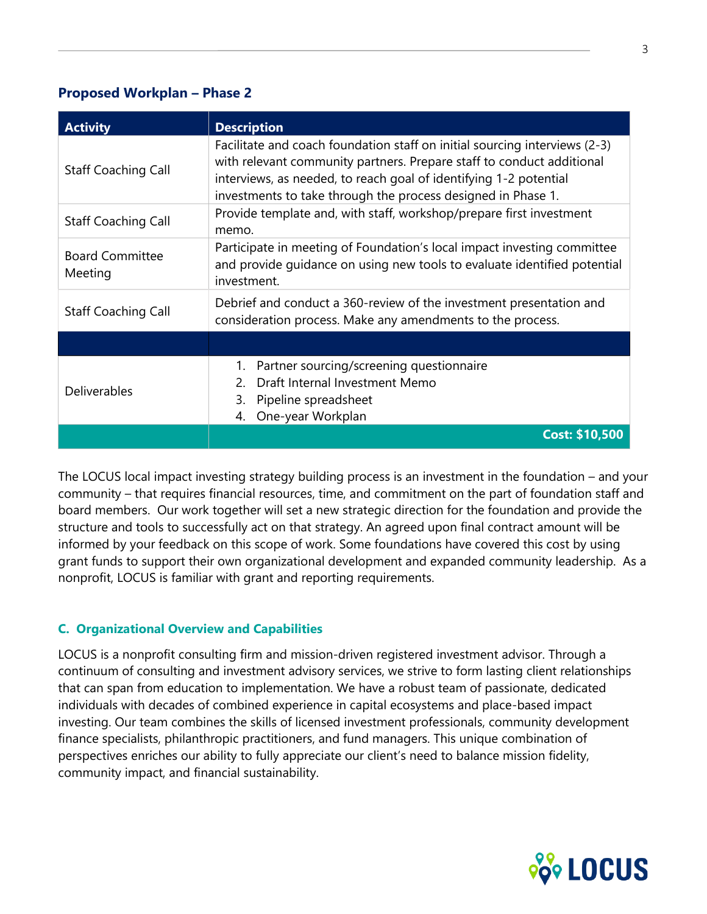# **Proposed Workplan – Phase 2**

| <b>Activity</b>                   | <b>Description</b>                                                                                                                                                                                                                                                                       |
|-----------------------------------|------------------------------------------------------------------------------------------------------------------------------------------------------------------------------------------------------------------------------------------------------------------------------------------|
| <b>Staff Coaching Call</b>        | Facilitate and coach foundation staff on initial sourcing interviews (2-3)<br>with relevant community partners. Prepare staff to conduct additional<br>interviews, as needed, to reach goal of identifying 1-2 potential<br>investments to take through the process designed in Phase 1. |
| <b>Staff Coaching Call</b>        | Provide template and, with staff, workshop/prepare first investment<br>memo.                                                                                                                                                                                                             |
| <b>Board Committee</b><br>Meeting | Participate in meeting of Foundation's local impact investing committee<br>and provide quidance on using new tools to evaluate identified potential<br>investment.                                                                                                                       |
| <b>Staff Coaching Call</b>        | Debrief and conduct a 360-review of the investment presentation and<br>consideration process. Make any amendments to the process.                                                                                                                                                        |
|                                   |                                                                                                                                                                                                                                                                                          |
| <b>Deliverables</b>               | Partner sourcing/screening questionnaire<br>1.<br>Draft Internal Investment Memo<br>2<br>Pipeline spreadsheet<br>3.<br>One-year Workplan<br>4.                                                                                                                                           |
|                                   | <b>Cost: \$10,500</b>                                                                                                                                                                                                                                                                    |

The LOCUS local impact investing strategy building process is an investment in the foundation – and your community – that requires financial resources, time, and commitment on the part of foundation staff and board members. Our work together will set a new strategic direction for the foundation and provide the structure and tools to successfully act on that strategy. An agreed upon final contract amount will be informed by your feedback on this scope of work. Some foundations have covered this cost by using grant funds to support their own organizational development and expanded community leadership. As a nonprofit, LOCUS is familiar with grant and reporting requirements.

# **C. Organizational Overview and Capabilities**

LOCUS is a nonprofit consulting firm and mission-driven registered investment advisor. Through a continuum of consulting and investment advisory services, we strive to form lasting client relationships that can span from education to implementation. We have a robust team of passionate, dedicated individuals with decades of combined experience in capital ecosystems and place-based impact investing. Our team combines the skills of licensed investment professionals, community development finance specialists, philanthropic practitioners, and fund managers. This unique combination of perspectives enriches our ability to fully appreciate our client's need to balance mission fidelity, community impact, and financial sustainability.